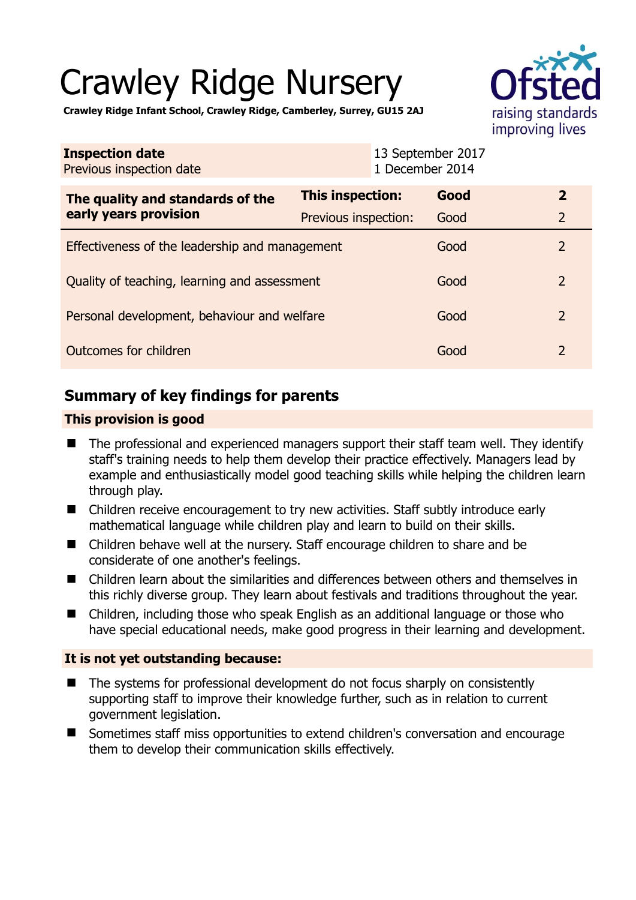# Crawley Ridge Nursery



**Crawley Ridge Infant School, Crawley Ridge, Camberley, Surrey, GU15 2AJ** 

| <b>Inspection date</b><br>Previous inspection date        |                      | 13 September 2017<br>1 December 2014 |      |                |
|-----------------------------------------------------------|----------------------|--------------------------------------|------|----------------|
| The quality and standards of the<br>early years provision | This inspection:     |                                      | Good | $\overline{2}$ |
|                                                           | Previous inspection: |                                      | Good | $\overline{2}$ |
| Effectiveness of the leadership and management            |                      |                                      | Good | $\overline{2}$ |
| Quality of teaching, learning and assessment              |                      |                                      | Good | $\overline{2}$ |
| Personal development, behaviour and welfare               |                      |                                      | Good | $\overline{2}$ |
| Outcomes for children                                     |                      |                                      | Good | 2              |

# **Summary of key findings for parents**

## **This provision is good**

- The professional and experienced managers support their staff team well. They identify staff's training needs to help them develop their practice effectively. Managers lead by example and enthusiastically model good teaching skills while helping the children learn through play.
- Children receive encouragement to try new activities. Staff subtly introduce early mathematical language while children play and learn to build on their skills.
- Children behave well at the nursery. Staff encourage children to share and be considerate of one another's feelings.
- Children learn about the similarities and differences between others and themselves in this richly diverse group. They learn about festivals and traditions throughout the year.
- Children, including those who speak English as an additional language or those who have special educational needs, make good progress in their learning and development.

## **It is not yet outstanding because:**

- The systems for professional development do not focus sharply on consistently supporting staff to improve their knowledge further, such as in relation to current government legislation.
- Sometimes staff miss opportunities to extend children's conversation and encourage them to develop their communication skills effectively.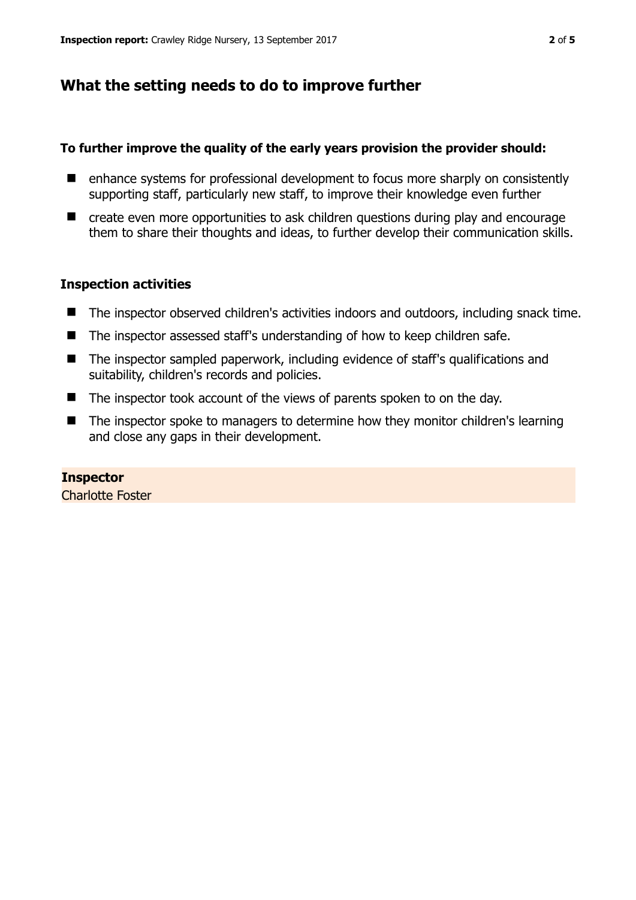## **What the setting needs to do to improve further**

#### **To further improve the quality of the early years provision the provider should:**

- enhance systems for professional development to focus more sharply on consistently supporting staff, particularly new staff, to improve their knowledge even further
- create even more opportunities to ask children questions during play and encourage them to share their thoughts and ideas, to further develop their communication skills.

#### **Inspection activities**

- The inspector observed children's activities indoors and outdoors, including snack time.
- The inspector assessed staff's understanding of how to keep children safe.
- The inspector sampled paperwork, including evidence of staff's qualifications and suitability, children's records and policies.
- The inspector took account of the views of parents spoken to on the day.
- The inspector spoke to managers to determine how they monitor children's learning and close any gaps in their development.

#### **Inspector**  Charlotte Foster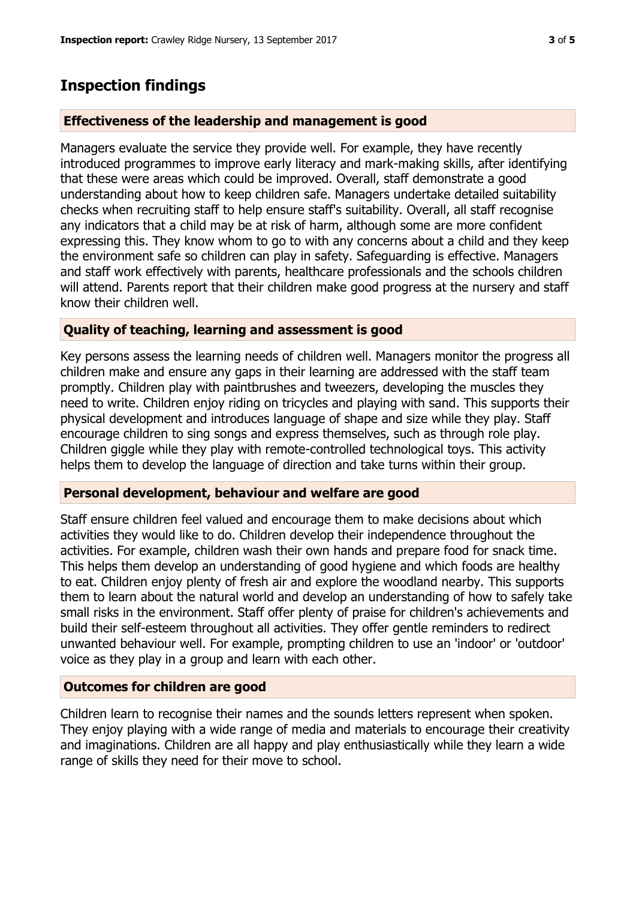## **Inspection findings**

#### **Effectiveness of the leadership and management is good**

Managers evaluate the service they provide well. For example, they have recently introduced programmes to improve early literacy and mark-making skills, after identifying that these were areas which could be improved. Overall, staff demonstrate a good understanding about how to keep children safe. Managers undertake detailed suitability checks when recruiting staff to help ensure staff's suitability. Overall, all staff recognise any indicators that a child may be at risk of harm, although some are more confident expressing this. They know whom to go to with any concerns about a child and they keep the environment safe so children can play in safety. Safeguarding is effective. Managers and staff work effectively with parents, healthcare professionals and the schools children will attend. Parents report that their children make good progress at the nursery and staff know their children well.

#### **Quality of teaching, learning and assessment is good**

Key persons assess the learning needs of children well. Managers monitor the progress all children make and ensure any gaps in their learning are addressed with the staff team promptly. Children play with paintbrushes and tweezers, developing the muscles they need to write. Children enjoy riding on tricycles and playing with sand. This supports their physical development and introduces language of shape and size while they play. Staff encourage children to sing songs and express themselves, such as through role play. Children giggle while they play with remote-controlled technological toys. This activity helps them to develop the language of direction and take turns within their group.

#### **Personal development, behaviour and welfare are good**

Staff ensure children feel valued and encourage them to make decisions about which activities they would like to do. Children develop their independence throughout the activities. For example, children wash their own hands and prepare food for snack time. This helps them develop an understanding of good hygiene and which foods are healthy to eat. Children enjoy plenty of fresh air and explore the woodland nearby. This supports them to learn about the natural world and develop an understanding of how to safely take small risks in the environment. Staff offer plenty of praise for children's achievements and build their self-esteem throughout all activities. They offer gentle reminders to redirect unwanted behaviour well. For example, prompting children to use an 'indoor' or 'outdoor' voice as they play in a group and learn with each other.

#### **Outcomes for children are good**

Children learn to recognise their names and the sounds letters represent when spoken. They enjoy playing with a wide range of media and materials to encourage their creativity and imaginations. Children are all happy and play enthusiastically while they learn a wide range of skills they need for their move to school.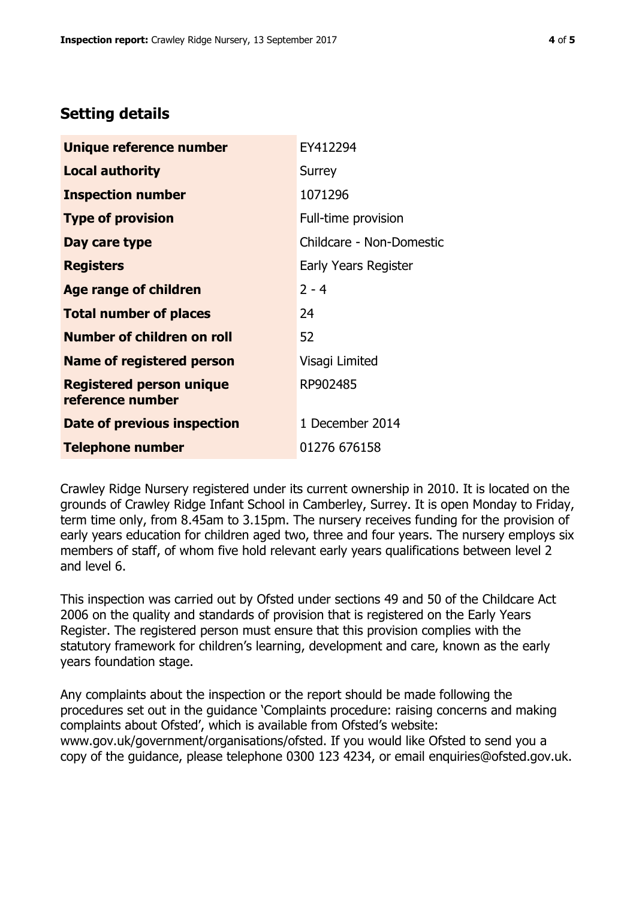## **Setting details**

| Unique reference number                             | EY412294                 |  |
|-----------------------------------------------------|--------------------------|--|
| <b>Local authority</b>                              | Surrey                   |  |
| <b>Inspection number</b>                            | 1071296                  |  |
| <b>Type of provision</b>                            | Full-time provision      |  |
| Day care type                                       | Childcare - Non-Domestic |  |
| <b>Registers</b>                                    | Early Years Register     |  |
| <b>Age range of children</b>                        | $2 - 4$                  |  |
| <b>Total number of places</b>                       | 24                       |  |
| <b>Number of children on roll</b>                   | 52                       |  |
| Name of registered person                           | Visagi Limited           |  |
| <b>Registered person unique</b><br>reference number | RP902485                 |  |
| Date of previous inspection                         | 1 December 2014          |  |
| <b>Telephone number</b>                             | 01276 676158             |  |

Crawley Ridge Nursery registered under its current ownership in 2010. It is located on the grounds of Crawley Ridge Infant School in Camberley, Surrey. It is open Monday to Friday, term time only, from 8.45am to 3.15pm. The nursery receives funding for the provision of early years education for children aged two, three and four years. The nursery employs six members of staff, of whom five hold relevant early years qualifications between level 2 and level 6.

This inspection was carried out by Ofsted under sections 49 and 50 of the Childcare Act 2006 on the quality and standards of provision that is registered on the Early Years Register. The registered person must ensure that this provision complies with the statutory framework for children's learning, development and care, known as the early years foundation stage.

Any complaints about the inspection or the report should be made following the procedures set out in the guidance 'Complaints procedure: raising concerns and making complaints about Ofsted', which is available from Ofsted's website: www.gov.uk/government/organisations/ofsted. If you would like Ofsted to send you a copy of the guidance, please telephone 0300 123 4234, or email enquiries@ofsted.gov.uk.